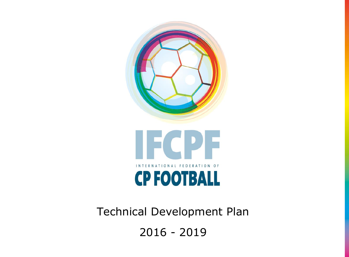

Technical Development Plan 2016 - 2019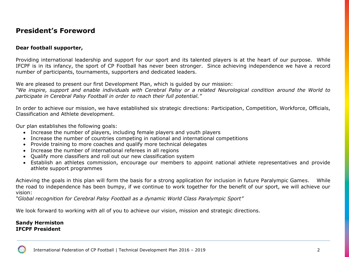# **President's Foreword**

### **Dear football supporter,**

Providing international leadership and support for our sport and its talented players is at the heart of our purpose. While IFCPF is in its infancy, the sport of CP Football has never been stronger. Since achieving independence we have a record number of participants, tournaments, supporters and dedicated leaders.

We are pleased to present our first Development Plan, which is guided by our mission:

*"We inspire, support and enable individuals with Cerebral Palsy or a related Neurological condition around the World to participate in Cerebral Palsy Football in order to reach their full potential."*

In order to achieve our mission, we have established six strategic directions: Participation, Competition, Workforce, Officials, Classification and Athlete development.

Our plan establishes the following goals:

- Increase the number of players, including female players and youth players
- Increase the number of countries competing in national and international competitions
- Provide training to more coaches and qualify more technical delegates
- Increase the number of international referees in all regions
- Qualify more classifiers and roll out our new classification system
- Establish an athletes commission, encourage our members to appoint national athlete representatives and provide athlete support programmes

Achieving the goals in this plan will form the basis for a strong application for inclusion in future Paralympic Games. While the road to independence has been bumpy, if we continue to work together for the benefit of our sport, we will achieve our vision:

*"Global recognition for Cerebral Palsy Football as a dynamic World Class Paralympic Sport"*

We look forward to working with all of you to achieve our vision, mission and strategic directions.

### **Sandy Hermiston IFCPF President**

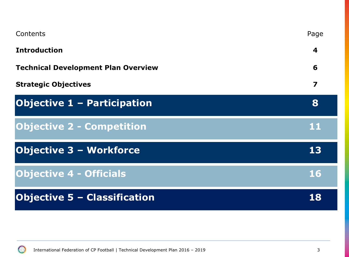| Contents                                   | Page                    |
|--------------------------------------------|-------------------------|
| <b>Introduction</b>                        | 4                       |
| <b>Technical Development Plan Overview</b> | 6                       |
| <b>Strategic Objectives</b>                | $\overline{\mathbf{z}}$ |
| <b>Objective 1 - Participation</b>         | 8                       |
| <b>Objective 2 - Competition</b>           | 11                      |
| <b>Objective 3 - Workforce</b>             | 13                      |
| <b>Objective 4 - Officials</b>             | <b>16</b>               |
| <b>Objective 5 - Classification</b>        | 18                      |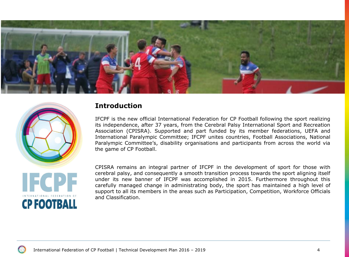



# **Introduction**

IFCPF is the new official International Federation for CP Football following the sport realizing its independence, after 37 years, from the Cerebral Palsy International Sport and Recreation Association (CPISRA). Supported and part funded by its member federations, UEFA and International Paralympic Committee; IFCPF unites countries, Football Associations, National Paralympic Committee's, disability organisations and participants from across the world via the game of CP Football.

CPISRA remains an integral partner of IFCPF in the development of sport for those with cerebral palsy, and consequently a smooth transition process towards the sport aligning itself under its new banner of IFCPF was accomplished in 2015. Furthermore throughout this carefully managed change in administrating body, the sport has maintained a high level of support to all its members in the areas such as Participation, Competition, Workforce Officials and Classification.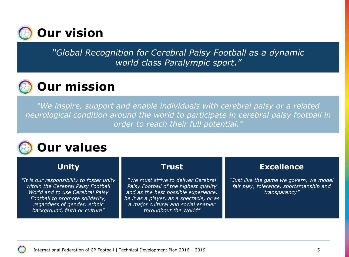

*"Global Recognition for Cerebral Palsy Football as a dynamic world class Paralympic sport."*

# **Our mission**

*"We inspire, support and enable individuals with cerebral palsy or a related neurological condition around the world to participate in cerebral palsy football in order to reach their full potential."*

# **Our values**

# **Unity**

*"It is our responsibility to foster unity within the Cerebral Palsy Football World and to use Cerebral Palsy Football to promote solidarity, regardless of gender, ethnic background, faith or culture"*

# **Trust**

*"We must strive to deliver Cerebral Palsy Football of the highest quality and as the best possible experience, be it as a player, as a spectacle, or as a major cultural and social enabler throughout the World"*

# **Excellence**

*"Just like the game we govern, we model fair play, tolerance, sportsmanship and transparency"*

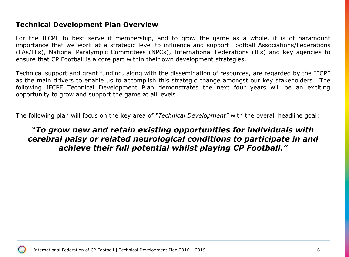# **Technical Development Plan Overview**

For the IFCPF to best serve it membership, and to grow the game as a whole, it is of paramount importance that we work at a strategic level to influence and support Football Associations/Federations (FAs/FFs), National Paralympic Committees (NPCs), International Federations (IFs) and key agencies to ensure that CP Football is a core part within their own development strategies.

Technical support and grant funding, along with the dissemination of resources, are regarded by the IFCPF as the main drivers to enable us to accomplish this strategic change amongst our key stakeholders. The following IFCPF Technical Development Plan demonstrates the next four years will be an exciting opportunity to grow and support the game at all levels.

The following plan will focus on the key area of *"Technical Development"* with the overall headline goal:

# "*To grow new and retain existing opportunities for individuals with cerebral palsy or related neurological conditions to participate in and achieve their full potential whilst playing CP Football."*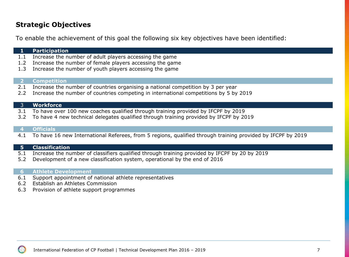# **Strategic Objectives**

To enable the achievement of this goal the following six key objectives have been identified:

# **1 Participation**

- 1.1 Increase the number of adult players accessing the game
- 1.2 Increase the number of female players accessing the game
- 1.3 Increase the number of youth players accessing the game

### **2 Competition**

- 2.1 Increase the number of countries organising a national competition by 3 per year
- 2.2 Increase the number of countries competing in international competitions by 5 by 2019

### 3 **Workforce**

- 3.1 To have over 100 new coaches qualified through training provided by IFCPF by 2019
- 3.2 To have 4 new technical delegates qualified through training provided by IFCPF by 2019

### **4 Officials**

4.1 To have 16 new International Referees, from 5 regions, qualified through training provided by IFCPF by 2019

### **5 Classification**

- 5.1 Increase the number of classifiers qualified through training provided by IFCPF by 20 by 2019
- 5.2 Development of a new classification system, operational by the end of 2016

### **6 Athlete Development**

- 6.1 Support appointment of national athlete representatives
- 6.2 Establish an Athletes Commission
- 6.3 Provision of athlete support programmes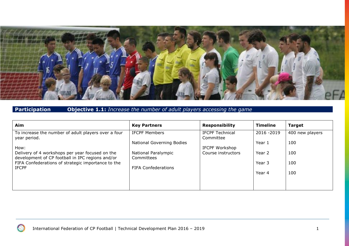

# **Participation Objective 1.1:** *Increase the number of adult players accessing the game*

| Aim                                                                                                 | <b>Key Partners</b>               | <b>Responsibility</b>               | <b>Timeline</b> | <b>Target</b>   |
|-----------------------------------------------------------------------------------------------------|-----------------------------------|-------------------------------------|-----------------|-----------------|
| To increase the number of adult players over a four<br>year period.                                 | <b>IFCPF Members</b>              | <b>IFCPF Technical</b><br>Committee | 2016 - 2019     | 400 new players |
| How:                                                                                                | National Governing Bodies         | IFCPF Workshop                      | Year 1          | 100             |
| Delivery of 4 workshops per year focused on the<br>development of CP football in IPC regions and/or | National Paralympic<br>Committees | Course instructors                  | Year 2          | 100             |
| FIFA Confederations of strategic importance to the                                                  |                                   |                                     | Year 3          | 100             |
| <b>IFCPF</b>                                                                                        | <b>FIFA Confederations</b>        |                                     | Year 4          | 100             |
|                                                                                                     |                                   |                                     |                 |                 |
|                                                                                                     |                                   |                                     |                 |                 |

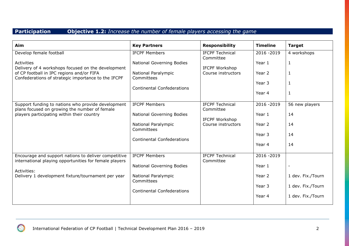# **Participation Objective 1.2:** *Increase the number of female players accessing the game*

| Aim                                                                                                            | <b>Key Partners</b>               | <b>Responsibility</b>               | <b>Timeline</b> | <b>Target</b>     |
|----------------------------------------------------------------------------------------------------------------|-----------------------------------|-------------------------------------|-----------------|-------------------|
| Develop female football                                                                                        | <b>IFCPF Members</b>              | <b>IFCPF Technical</b><br>Committee | 2016 - 2019     | 4 workshops       |
| Activities<br>Delivery of 4 workshops focused on the development                                               | <b>National Governing Bodies</b>  | IFCPF Workshop                      | Year 1          | $\mathbf{1}$      |
| of CP football in IPC regions and/or FIFA<br>Confederations of strategic importance to the IFCPF               | National Paralympic<br>Committees | Course instructors                  | Year 2          | $\mathbf{1}$      |
|                                                                                                                | <b>Continental Confederations</b> |                                     | Year 3          | 1                 |
|                                                                                                                |                                   |                                     | Year 4          | $\mathbf{1}$      |
| Support funding to nations who provide development<br>plans focused on growing the number of female            | <b>IFCPF Members</b>              | <b>IFCPF Technical</b><br>Committee | 2016 - 2019     | 56 new players    |
| players participating within their country                                                                     | <b>National Governing Bodies</b>  | <b>IFCPF Workshop</b>               | Year 1          | 14                |
|                                                                                                                | National Paralympic<br>Committees | Course instructors                  | Year 2          | 14                |
|                                                                                                                | <b>Continental Confederations</b> |                                     | Year 3          | 14                |
|                                                                                                                |                                   |                                     | Year 4          | 14                |
| Encourage and support nations to deliver competitive<br>international playing opportunities for female players | <b>IFCPF Members</b>              | <b>IFCPF Technical</b><br>Committee | 2016 - 2019     |                   |
| Activities:                                                                                                    | <b>National Governing Bodies</b>  |                                     | Year 1          |                   |
| Delivery 1 development fixture/tournament per year                                                             | National Paralympic<br>Committees |                                     | Year 2          | 1 dev. Fix./Tourn |
|                                                                                                                | <b>Continental Confederations</b> |                                     | Year 3          | 1 dev. Fix./Tourn |
|                                                                                                                |                                   |                                     | Year 4          | 1 dev. Fix./Tourn |

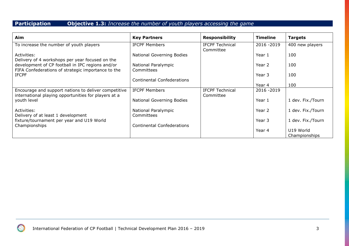# **Participation Objective 1.3:** *Increase the number of youth players accessing the game*

| Aim                                                                                                          | <b>Key Partners</b>               | <b>Responsibility</b>  | <b>Timeline</b> | <b>Targets</b>    |
|--------------------------------------------------------------------------------------------------------------|-----------------------------------|------------------------|-----------------|-------------------|
| To increase the number of youth players                                                                      | <b>IFCPF Members</b>              | <b>IFCPF Technical</b> | 2016 - 2019     | 400 new players   |
|                                                                                                              |                                   | Committee              |                 |                   |
| Activities:                                                                                                  | National Governing Bodies         |                        | Year 1          | 100               |
| Delivery of 4 workshops per year focused on the                                                              |                                   |                        |                 |                   |
| development of CP football in IPC regions and/or                                                             | National Paralympic               |                        | Year 2          | 100               |
| FIFA Confederations of strategic importance to the                                                           | Committees                        |                        |                 |                   |
| <b>IFCPF</b>                                                                                                 |                                   |                        | Year 3          | 100               |
|                                                                                                              | Continental Confederations        |                        | Year 4          | 100               |
|                                                                                                              | <b>IFCPF Members</b>              | <b>IFCPF Technical</b> | 2016 - 2019     |                   |
| Encourage and support nations to deliver competitive<br>international playing opportunities for players at a |                                   | Committee              |                 |                   |
| youth level                                                                                                  | National Governing Bodies         |                        | Year 1          | 1 dev. Fix./Tourn |
|                                                                                                              |                                   |                        |                 |                   |
| Activities:                                                                                                  | National Paralympic               |                        | Year 2          | 1 dev. Fix./Tourn |
| Delivery of at least 1 development                                                                           | Committees                        |                        |                 |                   |
| fixture/tournament per year and U19 World                                                                    |                                   |                        | Year 3          | 1 dev. Fix./Tourn |
| Championships                                                                                                | <b>Continental Confederations</b> |                        |                 |                   |
|                                                                                                              |                                   |                        | Year 4          | U19 World         |
|                                                                                                              |                                   |                        |                 | Championships     |

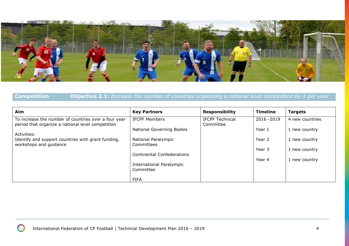

# **Competition Objective 2.1:** *Increase the number of countries organizing a national level competition by 1 per year*

| Aim                                                                                                       | <b>Key Partners</b>               | <b>Responsibility</b>               | <b>Timeline</b> | <b>Targets</b>  |
|-----------------------------------------------------------------------------------------------------------|-----------------------------------|-------------------------------------|-----------------|-----------------|
| To increase the number of countries over a four year<br>period that organize a national level competition | <b>IFCPF Members</b>              | <b>IFCPF Technical</b><br>Committee | 2016 - 2019     | 4 new countries |
| Activities:                                                                                               | <b>National Governing Bodies</b>  |                                     | Year 1          | 1 new country   |
| Identify and support countries with grant funding,                                                        | National Paralympic               |                                     | Year 2          | 1 new country   |
| workshops and guidance                                                                                    | Committees                        |                                     | Year 3          | 1 new country   |
|                                                                                                           | <b>Continental Confederations</b> |                                     | Year 4          | 1 new country   |
|                                                                                                           | International Paralympic          |                                     |                 |                 |
|                                                                                                           | Committee                         |                                     |                 |                 |
|                                                                                                           | <b>FIFA</b>                       |                                     |                 |                 |

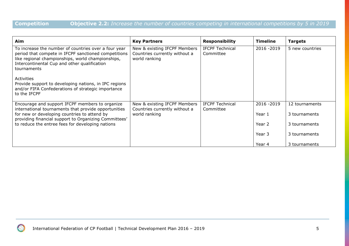# **Competition Objective 2.2:** *Increase the number of countries competing in international competitions by 5 in 2019*

| Aim                                                                                                                                                                                                                              | <b>Key Partners</b>                                                            | <b>Responsibility</b>               | <b>Timeline</b>       | Targets                         |
|----------------------------------------------------------------------------------------------------------------------------------------------------------------------------------------------------------------------------------|--------------------------------------------------------------------------------|-------------------------------------|-----------------------|---------------------------------|
| To increase the number of countries over a four year<br>period that compete in IFCPF sanctioned competitions<br>like regional championships, world championships,<br>Intercontinental Cup and other qualification<br>tournaments | New & existing IFCPF Members<br>Countries currently without a<br>world ranking | <b>IFCPF Technical</b><br>Committee | 2016 - 2019           | 5 new countries                 |
| <b>Activities</b><br>Provide support to developing nations, in IPC regions<br>and/or FIFA Confederations of strategic importance<br>to the IFCPF                                                                                 |                                                                                |                                     |                       |                                 |
| Encourage and support IFCPF members to organize<br>international tournaments that provide opportunities<br>for new or developing countries to attend by<br>providing financial support to Organizing Committees'                 | New & existing IFCPF Members<br>Countries currently without a<br>world ranking | <b>IFCPF Technical</b><br>Committee | 2016 - 2019<br>Year 1 | 12 tournaments<br>3 tournaments |
| to reduce the entree fees for developing nations                                                                                                                                                                                 |                                                                                |                                     | Year 2                | 3 tournaments                   |
|                                                                                                                                                                                                                                  |                                                                                |                                     | Year 3                | 3 tournaments                   |
|                                                                                                                                                                                                                                  |                                                                                |                                     | Year 4                | 3 tournaments                   |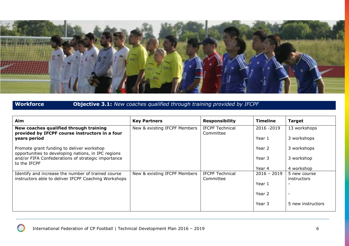

# **Workforce Objective 3.1:** *New coaches qualified through training provided by IFCPF*

| Aim                                                                                              | <b>Key Partners</b>          | <b>Responsibility</b>               | <b>Timeline</b> | <b>Target</b>            |
|--------------------------------------------------------------------------------------------------|------------------------------|-------------------------------------|-----------------|--------------------------|
| New coaches qualified through training<br>provided by IFCPF course instructors in a four         | New & existing IFCPF Members | <b>IFCPF Technical</b><br>Committee | 2016 - 2019     | 13 workshops             |
| years period                                                                                     |                              |                                     | Year 1          | 3 workshops              |
| Promote grant funding to deliver workshop<br>opportunities to developing nations, in IPC regions |                              |                                     | Year 2          | 3 workshops              |
| and/or FIFA Confederations of strategic importance<br>to the IFCPF                               |                              |                                     | Year 3          | 3 workshop               |
|                                                                                                  |                              |                                     | Year 4          | 4 workshop               |
| Identify and increase the number of trained course                                               | New & existing IFCPF Members | <b>IFCPF Technical</b>              | $2016 - 2019$   | 5 new course             |
| instructors able to deliver IFCPF Coaching Workshops                                             |                              | Committee                           |                 | instructors              |
|                                                                                                  |                              |                                     | Year 1          |                          |
|                                                                                                  |                              |                                     | Year 2          | $\overline{\phantom{a}}$ |
|                                                                                                  |                              |                                     | Year 3          | 5 new instructors        |

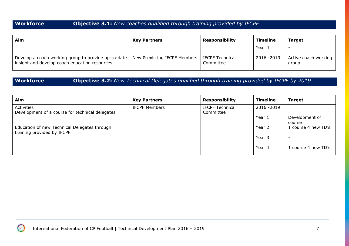# **Workforce Objective 3.1:** *New coaches qualified through training provided by IFCPF*

| Aim                                                                                                  | <b>Key Partners</b>                            | <b>Responsibility</b> | Timeline    | <b>Target</b>                 |
|------------------------------------------------------------------------------------------------------|------------------------------------------------|-----------------------|-------------|-------------------------------|
|                                                                                                      |                                                |                       | Year 4      |                               |
| Develop a coach working group to provide up-to-date<br>insight and develop coach education resources | New & existing IFCPF Members   IFCPF Technical | Committee             | 2016 - 2019 | Active coach working<br>group |

**Workforce Objective 3.2:** *New Technical Delegates qualified through training provided by IFCPF by 2019*

| Aim                                                                        | <b>Key Partners</b>  | <b>Responsibility</b>               | <b>Timeline</b> | <b>Target</b>            |
|----------------------------------------------------------------------------|----------------------|-------------------------------------|-----------------|--------------------------|
| Activities<br>Development of a course for technical delegates              | <b>IFCPF Members</b> | <b>IFCPF Technical</b><br>Committee | 2016 - 2019     |                          |
|                                                                            |                      |                                     | Year 1          | Development of<br>course |
| Education of new Technical Delegates through<br>training provided by IFCPF |                      |                                     | Year 2          | 1 course 4 new TD's      |
|                                                                            |                      |                                     | Year 3          | $\overline{\phantom{a}}$ |
|                                                                            |                      |                                     | Year 4          | 1 course 4 new TD's      |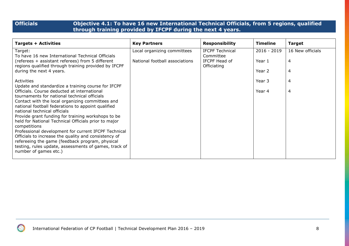### **Officials Objective 4.1: To have 16 new International Technical Officials, from 5 regions, qualified through training provided by IFCPF during the next 4 years.**

| <b>Targets + Activities</b>                                                                                                                                                                                                                                                                                                                                                                                                                                                                                                                                                                  | <b>Key Partners</b>            | <b>Responsibility</b>                     | <b>Timeline</b> | <b>Target</b>    |
|----------------------------------------------------------------------------------------------------------------------------------------------------------------------------------------------------------------------------------------------------------------------------------------------------------------------------------------------------------------------------------------------------------------------------------------------------------------------------------------------------------------------------------------------------------------------------------------------|--------------------------------|-------------------------------------------|-----------------|------------------|
| Target:                                                                                                                                                                                                                                                                                                                                                                                                                                                                                                                                                                                      | Local organizing committees    | <b>IFCPF Technical</b>                    | $2016 - 2019$   | 16 New officials |
| To have 16 new International Technical Officials<br>(referees + assistant referees) from 5 different<br>regions qualified through training provided by IFCPF                                                                                                                                                                                                                                                                                                                                                                                                                                 | National football associations | Committee<br>IFCPF Head of<br>Officiating | Year 1          | 4                |
| during the next 4 years.                                                                                                                                                                                                                                                                                                                                                                                                                                                                                                                                                                     |                                |                                           | Year 2          | 4                |
| Activities                                                                                                                                                                                                                                                                                                                                                                                                                                                                                                                                                                                   |                                |                                           | Year 3          | 4                |
| Update and standardize a training course for IFCPF<br>Officials. Course deducted at international<br>tournaments for national technical officials<br>Contact with the local organizing committees and<br>national football federations to appoint qualified<br>national technical officials<br>Provide grant funding for training workshops to be<br>held for National Technical Officials prior to major<br>competitions<br>Professional development for current IFCPF Technical<br>Officials to increase the quality and consistency of<br>refereeing the game (feedback program, physical |                                |                                           | Year 4          | 4                |
| testing, rules update, assessments of games, track of<br>number of games etc.)                                                                                                                                                                                                                                                                                                                                                                                                                                                                                                               |                                |                                           |                 |                  |

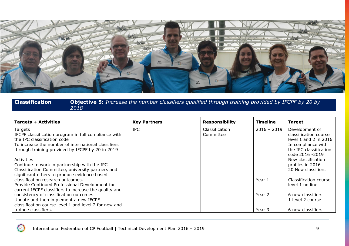

### **Classification Objective 5:** *Increase the number classifiers qualified through training provided by IFCPF by 20 by 2018*

| <b>Targets + Activities</b>                           | <b>Key Partners</b> | <b>Responsibility</b> | <b>Timeline</b> | <b>Target</b>          |
|-------------------------------------------------------|---------------------|-----------------------|-----------------|------------------------|
| Targets                                               | <b>IPC</b>          | Classification        | $2016 - 2019$   | Development of         |
| IFCPF classification program in full compliance with  |                     | Committee             |                 | classification course  |
| the IPC classification code                           |                     |                       |                 | level 1 and 2 in 2016  |
| To increase the number of international classifiers   |                     |                       |                 | In compliance with     |
| through training provided by IFCPF by 20 in 2019      |                     |                       |                 | the IPC classification |
|                                                       |                     |                       |                 | code 2016 -2019        |
| Activities                                            |                     |                       |                 | New classification     |
| Continue to work in partnership with the IPC          |                     |                       |                 | profiles in 2016       |
| Classification Committee, university partners and     |                     |                       |                 | 20 New classifiers     |
| significant others to produce evidence based          |                     |                       |                 |                        |
| classification research outcomes.                     |                     |                       | Year 1          | Classification course  |
| Provide Continued Professional Development for        |                     |                       |                 | level 1 on line        |
| current IFCPF classifiers to increase the quality and |                     |                       |                 |                        |
| consistency of classification outcomes.               |                     |                       | Year 2          | 6 new classifiers      |
| Update and then implement a new IFCPF                 |                     |                       |                 | 1 level 2 course       |
| classification course level 1 and level 2 for new and |                     |                       |                 |                        |
| trainee classifiers.                                  |                     |                       | Year 3          | 6 new classifiers      |

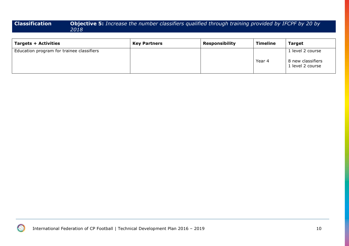### **Classification Objective 5:** *Increase the number classifiers qualified through training provided by IFCPF by 20 by 2018*

| <b>Targets + Activities</b>               | <b>Key Partners</b> | <b>Responsibility</b> | <b>Timeline</b> | <b>Target</b>                                             |
|-------------------------------------------|---------------------|-----------------------|-----------------|-----------------------------------------------------------|
| Education program for trainee classifiers |                     |                       | Year 4          | 1 level 2 course<br>8 new classifiers<br>1 level 2 course |

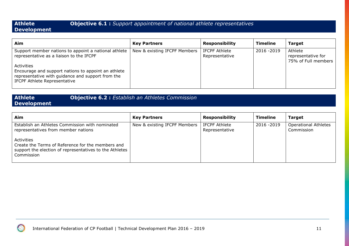### **Athlete Development**

### **Objective 6.1 :** *Support appointment of national athlete representatives*

### **Aim Key Partners Responsibility Timeline Target** Support member nations to appoint a national athlete representative as a liaison to the IFCPF Activities Encourage and support nations to appoint an athlete representative with guidance and support from the IFCPF Athlete Representative New & existing IFCPF Members | IFCPF Athlete Representative 2016 -2019 Athlete representative for 75% of Full members

### **Athlete Objective 6.2 :** *Establish an Athletes Commission*

## **Development**

| <b>Aim</b>                                                                                                                 | <b>Key Partners</b>          | <b>Responsibility</b>                  | <b>Timeline</b> | <b>Target</b>                             |
|----------------------------------------------------------------------------------------------------------------------------|------------------------------|----------------------------------------|-----------------|-------------------------------------------|
| Establish an Athletes Commission with nominated<br>representatives from member nations<br>Activities                       | New & existing IFCPF Members | <b>IFCPF Athlete</b><br>Representative | 2016 - 2019     | <b>Operational Athletes</b><br>Commission |
| Create the Terms of Reference for the members and<br>support the election of representatives to the Athletes<br>Commission |                              |                                        |                 |                                           |